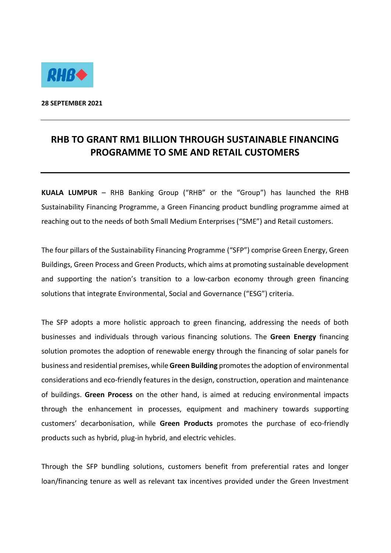

**28 SEPTEMBER 2021**

## **RHB TO GRANT RM1 BILLION THROUGH SUSTAINABLE FINANCING PROGRAMME TO SME AND RETAIL CUSTOMERS**

**KUALA LUMPUR** – RHB Banking Group ("RHB" or the "Group") has launched the RHB Sustainability Financing Programme, a Green Financing product bundling programme aimed at reaching out to the needs of both Small Medium Enterprises ("SME") and Retail customers.

The four pillars of the Sustainability Financing Programme ("SFP") comprise Green Energy, Green Buildings, Green Process and Green Products, which aims at promoting sustainable development and supporting the nation's transition to a low-carbon economy through green financing solutions that integrate Environmental, Social and Governance ("ESG") criteria.

The SFP adopts a more holistic approach to green financing, addressing the needs of both businesses and individuals through various financing solutions. The **Green Energy** financing solution promotes the adoption of renewable energy through the financing of solar panels for business and residential premises, while **Green Building** promotesthe adoption of environmental considerations and eco-friendly features in the design, construction, operation and maintenance of buildings. **Green Process** on the other hand, is aimed at reducing environmental impacts through the enhancement in processes, equipment and machinery towards supporting customers' decarbonisation, while **Green Products** promotes the purchase of eco-friendly products such as hybrid, plug-in hybrid, and electric vehicles.

Through the SFP bundling solutions, customers benefit from preferential rates and longer loan/financing tenure as well as relevant tax incentives provided under the Green Investment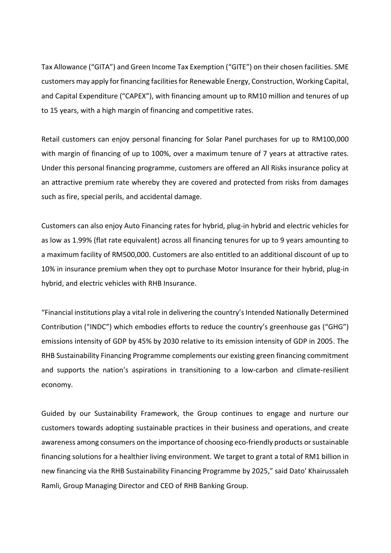Tax Allowance ("GITA") and Green Income Tax Exemption ("GITE") on their chosen facilities. SME customers may apply for financing facilities for Renewable Energy, Construction, Working Capital, and Capital Expenditure ("CAPEX"), with financing amount up to RM10 million and tenures of up to 15 years, with a high margin of financing and competitive rates.

Retail customers can enjoy personal financing for Solar Panel purchases for up to RM100,000 with margin of financing of up to 100%, over a maximum tenure of 7 years at attractive rates. Under this personal financing programme, customers are offered an All Risks insurance policy at an attractive premium rate whereby they are covered and protected from risks from damages such as fire, special perils, and accidental damage.

Customers can also enjoy Auto Financing rates for hybrid, plug-in hybrid and electric vehicles for as low as 1.99% (flat rate equivalent) across all financing tenures for up to 9 years amounting to a maximum facility of RM500,000. Customers are also entitled to an additional discount of up to 10% in insurance premium when they opt to purchase Motor Insurance for their hybrid, plug-in hybrid, and electric vehicles with RHB Insurance.

"Financial institutions play a vital role in delivering the country's Intended Nationally Determined Contribution ("INDC") which embodies efforts to reduce the country's greenhouse gas ("GHG") emissions intensity of GDP by 45% by 2030 relative to its emission intensity of GDP in 2005. The RHB Sustainability Financing Programme complements our existing green financing commitment and supports the nation's aspirations in transitioning to a low-carbon and climate-resilient economy.

Guided by our Sustainability Framework, the Group continues to engage and nurture our customers towards adopting sustainable practices in their business and operations, and create awareness among consumers on the importance of choosing eco-friendly products or sustainable financing solutions for a healthier living environment. We target to grant a total of RM1 billion in new financing via the RHB Sustainability Financing Programme by 2025," said Dato' Khairussaleh Ramli, Group Managing Director and CEO of RHB Banking Group.